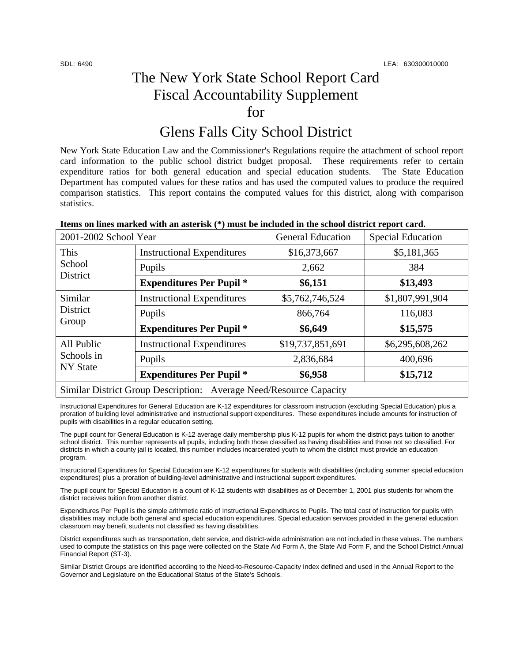# The New York State School Report Card Fiscal Accountability Supplement for

## Glens Falls City School District

New York State Education Law and the Commissioner's Regulations require the attachment of school report card information to the public school district budget proposal. These requirements refer to certain expenditure ratios for both general education and special education students. The State Education Department has computed values for these ratios and has used the computed values to produce the required comparison statistics. This report contains the computed values for this district, along with comparison statistics.

| 2001-2002 School Year                                              |                                   | <b>General Education</b> | <b>Special Education</b> |  |  |
|--------------------------------------------------------------------|-----------------------------------|--------------------------|--------------------------|--|--|
| This<br>School<br>District                                         | <b>Instructional Expenditures</b> | \$16,373,667             | \$5,181,365              |  |  |
|                                                                    | Pupils                            | 2,662                    | 384                      |  |  |
|                                                                    | <b>Expenditures Per Pupil *</b>   | \$6,151                  | \$13,493                 |  |  |
| Similar<br><b>District</b><br>Group                                | <b>Instructional Expenditures</b> | \$5,762,746,524          | \$1,807,991,904          |  |  |
|                                                                    | Pupils                            | 866,764                  | 116,083                  |  |  |
|                                                                    | <b>Expenditures Per Pupil *</b>   | \$6,649                  | \$15,575                 |  |  |
| All Public<br>Schools in<br><b>NY State</b>                        | <b>Instructional Expenditures</b> | \$19,737,851,691         | \$6,295,608,262          |  |  |
|                                                                    | Pupils                            | 2,836,684                | 400,696                  |  |  |
|                                                                    | <b>Expenditures Per Pupil *</b>   | \$6,958                  | \$15,712                 |  |  |
| Similar District Group Description: Average Need/Resource Capacity |                                   |                          |                          |  |  |

Instructional Expenditures for General Education are K-12 expenditures for classroom instruction (excluding Special Education) plus a proration of building level administrative and instructional support expenditures. These expenditures include amounts for instruction of pupils with disabilities in a regular education setting.

The pupil count for General Education is K-12 average daily membership plus K-12 pupils for whom the district pays tuition to another school district. This number represents all pupils, including both those classified as having disabilities and those not so classified. For districts in which a county jail is located, this number includes incarcerated youth to whom the district must provide an education program.

Instructional Expenditures for Special Education are K-12 expenditures for students with disabilities (including summer special education expenditures) plus a proration of building-level administrative and instructional support expenditures.

The pupil count for Special Education is a count of K-12 students with disabilities as of December 1, 2001 plus students for whom the district receives tuition from another district.

Expenditures Per Pupil is the simple arithmetic ratio of Instructional Expenditures to Pupils. The total cost of instruction for pupils with disabilities may include both general and special education expenditures. Special education services provided in the general education classroom may benefit students not classified as having disabilities.

District expenditures such as transportation, debt service, and district-wide administration are not included in these values. The numbers used to compute the statistics on this page were collected on the State Aid Form A, the State Aid Form F, and the School District Annual Financial Report (ST-3).

Similar District Groups are identified according to the Need-to-Resource-Capacity Index defined and used in the Annual Report to the Governor and Legislature on the Educational Status of the State's Schools.